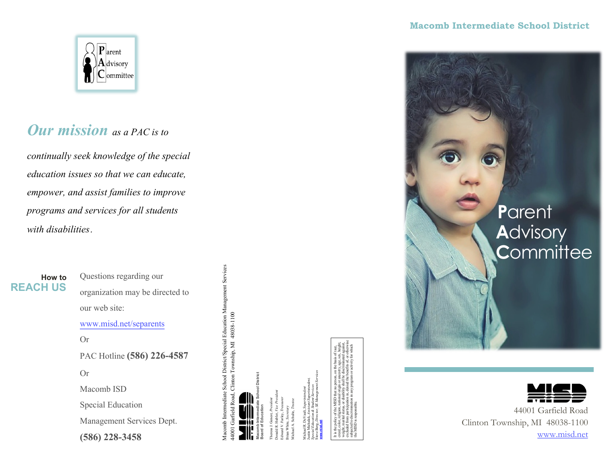## **Macomb Intermediate School District**



## *Our mission as a PAC is to*

*continually seek knowledge of the special education issues so that we can educate, empower, and assist families to improve programs and services for all students with disabilities*.

## **How to REACH US**

Questions regarding our organization may be directed to our web site: www.misd.net/separents Or PAC Hotline **(586) 226-4587** Or Macomb ISD Special Education Management Services Dept. **(586) 228-3458**

Macomb Intermediate School District/Special Education Management Services Macomb Intermediate School District/Special Education Management Services Garfield Road, Clinton Township, MI 48038-1100 44001 Garfield Road, Clinton Township, MI 48038-1100

**Macomb Intermediate School District Board of Education**

Theresa J. Genest, *President*  Donald R. Hubler, *Vice President* Edward V. Farley, *Treasurer*  Brian White, *Secretary*

Michael A. Schulte, *Trustee* Michael R. DeVault, *Superintendent*  Justin Michalak, *Assistant Superintendent, Special Education & Student Services*  Steve Berg, *Director, SE Management Services* 

**www.misd.net**

It is the policy of the MISD that no person, on the basis of race, creed, color, religion, national origin or ancestry, age, sex, height, weight, marital status, or disability shall be discriminated against, excluded from participation in, denied the benefits of, or otherwise subjected to discrimination in any program or activity for which the MISD is responsible.





44001 Garfield Road Clinton Township, MI 48038-1100 www.misd.net